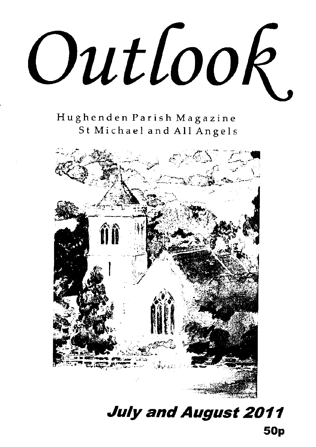Outlook

Hughenden Parish Magazine St Michael and All Angels



July and August 2011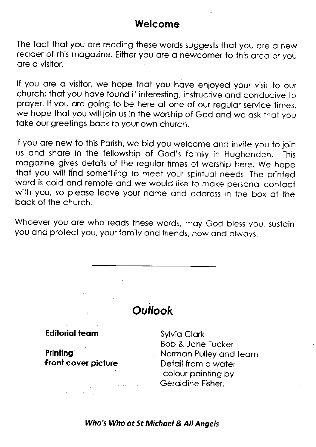### Welcome

The fact that you are reading these words suggests that you are a new reader of this magazine. Either you are a newcomer to this area or you ore o visitor"

If you are a visitor, we hope that you have enjoyed your visit to our church; that you have found it interesting, instructive and conducive to proyer. lf you ore going to be here of one of our regulor service times, we hope that you will join us in the worship of God and we ask that you toke our greetings bock to your own church.

lf you ore new to this Porish, we bid you welcome ond invite you to join us ond shore in the fellowship of God's fomily in Hughenden. This mogozine gives detoils of the regulor times of worship here. We hope thot you will find something to meet your spirituol needs. The printed word is cold ond remote ond we would like to moke personol contoct with you, so please leave your name and address in the box at the back of the church.

Whoever you are who reads these words, may God bless you, sustain you and protect you, your family and friends, now and always.

### **Outlook**

#### **Editorial team**

Printing Front cover piciure

Sylvio Clork Bob & Jone lucker Normon Pulley ond teom Detail from a water -colour painting by Geroldine Fisher.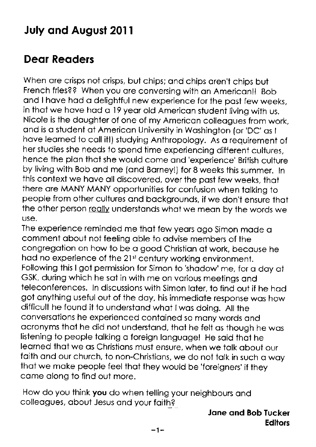# July and August 2011

## Dear Readers

When are crisps not crisps, but chips; and chips aren't chips but French fries?? When you ore conversing wiih on Americon!! Bob and I have had a delightful new experience for the past few weeks, in that we have had a 19 year old American student living with us. Nicole is the doughter of one of my Americon colleogues from work, ond is o student of Americon University in Woshington (or'DC' os I have learned to call it!) studying Anthropology. As a requirement of her studies she needs to spend time experiencing different cultures, hence the plan that she would come and 'experience' British culture by living with Bob ond me (ond Borney!) for 8 weeks this summer. ln this context we have all discovered, over the past few weeks, that there ore MANY MANY opportunities for confusion when tolking to people from other cultures ond bockgrounds, if we don't ensure thot the other person really understands what we mean by the words we use.

The experience reminded me thot few yeors ogo Simon mode o comment obout not feeling oble to odvise members of the congregotion on how to be o good Christion of work, becouse ne had no experience of the 21<sup>st</sup> century working environment. Following this I got permission for Simon to 'shadow' me, for a day at GSK, during which he sat in with me on various meetings and teleconferences. In discussions with Simon loter, to find out if he hod got onything useful out of the doy, his immediote response wos how difficult he found it to understond whot lwos doing. All the conversotions he experienced contoined so mony words ond ocronyms thot he did not understond. thot he felt os ihough he wos listening to people talking a foreign language! He said that he leorned thot we os Christions musi ensure, when we iolk obout our faith and our church, to non-Christians, we do not talk in such a way thot we moke people feel thot they would be'foreigners'if they come olong to find out more.

How do you think you do when telling your neighbours and colleogues, obout Jesus ond your foith?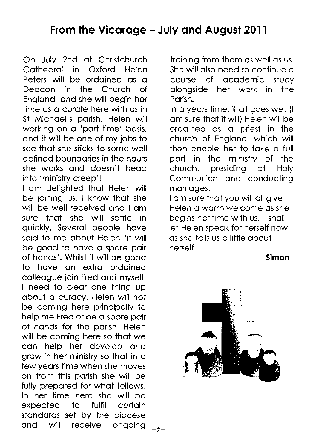## From the Vicarage - July and August 2011

On July 2nd of Christchurch Coihedrol in Oxford Helen Peters will be ordoined os o Deocon in the Church of Englond, ond she will begin her time os o curote here with us in St Michoel's porish. Helen will working on o 'port time' bosis, ond it will be one of my jobs to see thot she siicks to some well defined boundories in the hours she works ond doesn't heod into 'ministry creep'!

I om delighted thot Helen will be joining us, I know thot she will be well received ond I om sure thot she will settle in quickly. Severol people hove soid to me obout Helen 'it will be good to have a spare pair of honds'. Whilst it will be good to hove on extro ordoined colleogue join Fred ond myself, I need to clear one thing up obout o curocy. Helen will not be coming here principolly to help me Fred or be o spore poir of honds for the porish. Helen will be coming here so that we con help her develop ond grow in her ministry so thot in o few yeors time when she moves on from this porish she will be fully prepored for whot follows. ln her time here she will be expected to fulfil certoin standards set by the diocese and will receive ongoing <sub>-2-</sub> troining from them os well os us. She will also need to continue a course of ocodemic study olongside her work in the Porish.

In a years time, if all goes well (I om sure thot it will) Helen will be ordoined os o oriest in the church of Englond, which will then enable her to take a full port in the minisiry of the church, presiding of Holy Communion and conducting marriages.

I am sure that you will all give Helen o worm welcome os she begins her time with us. I sholl let Helen soeok for herself now os she tells us o little oboui herself .

Simon

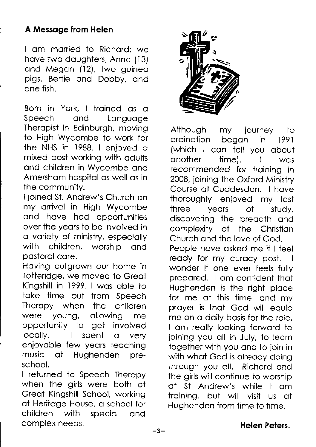### A Messoge from Helen

I om morried to Richord; we have two daughters, Anna (13) and Megan (12), two guinea pigs, Bertie ond Dobby. ond one fish.

Born in York. I troined os o Speech and Language Theropist in Edinburgh, moving io High Wycombe to work for ihe NHS in 1988. I enjoyed o mixed post working with odults ond children in Wycombe ond Amersham hospital as well as in the community.

ljoined Si. Andrew's Church on my arrival in High Wycombe ond hove hod opportunities over the yeors to be involved in o voriety of ministry, especiolly with children, worship and oostorol core.

Hoving outgrown our home in Totteridge, we moved to Greot Kingshill in 1999. I wos oble to toke time out from Speech Theropy when the children were young, ollowing me opportunity io get involved  $locally.$  l spent  $\alpha$ verv enjoyoble few yeors teoching music of Hughenden preschool.

I returned to Speech Theropy when the girls were both at Greot Kingshill School, working of Heritoge House, o school for children with special and comolex needs.



Although my journey to ordinotion begon in 1991 {which I con tell you obout onother time), I wos recommended for troining in 2008, joining ihe Oxford Ministry Course of Cuddesdon. I hove thoroughly enjoyed my lost three yeors of study, discovering the breodth ond complexity of the Christion Church ond the love of God. People hove osked me if I feel ready for my curacy post. wonder if one ever feels fullv prepored. I om confident thot Hughenden is the right ploce for me at this time, and my proyer is thot God will equip me on o doily bosis for the role. I am really looking forward to joining you oll in July, to leorn together with you ond to join in with what God is already doing through you oll. Richord ond the girls will continue to worship oi St Andrew's while I om iroining, but will visit us ot Hughenden from time to time.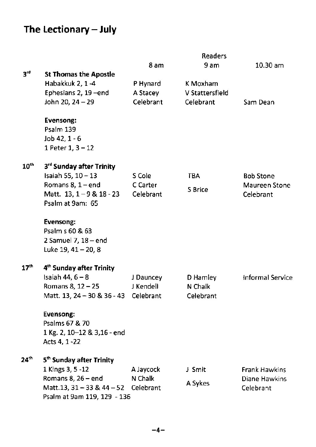# The Lectionary - July

|                  |                                      |           | <b>Readers</b>  |                         |
|------------------|--------------------------------------|-----------|-----------------|-------------------------|
|                  |                                      | 8 am      | 9 am            | 10.30 am                |
| $3^{rd}$         | <b>St Thomas the Apostle</b>         |           |                 |                         |
|                  | Habakkuk 2, 1-4                      | P Hynard  | K Moxham        |                         |
|                  | Ephesians 2, 19-end                  | A Stacey  | V Stattersfield |                         |
|                  | John 20, 24 - 29                     | Celebrant | Celebrant       | Sam Dean                |
|                  | <b>Evensong:</b>                     |           |                 |                         |
|                  | Psalm 139                            |           |                 |                         |
|                  | Job 42, 1 - 6                        |           |                 |                         |
|                  | 1 Peter 1, 3 - 12                    |           |                 |                         |
| 10 <sup>th</sup> | 3rd Sunday after Trinity             |           |                 |                         |
|                  | Isaiah 55, 10 - 13                   | S Cole    | <b>TBA</b>      | <b>Bob Stone</b>        |
|                  | Romans $8, 1$ – end                  | C Carter  | S Brice         | Maureen Stone           |
|                  | Matt. 13, 1-9 & 18 - 23              | Celebrant |                 | Celebrant               |
|                  | Psalm at 9am: 65                     |           |                 |                         |
|                  | Evensong:                            |           |                 |                         |
|                  | Psalm s 60 & 63                      |           |                 |                         |
|                  | 2 Samuel 7, $18 - end$               |           |                 |                         |
|                  | Luke 19, 41 - 20, 8                  |           |                 |                         |
| 17 <sup>th</sup> | 4 <sup>th</sup> Sunday after Trinity |           |                 |                         |
|                  | Isaiah 44, $6 - 8$                   | J Dauncey | D Hamley        | <b>Informal Service</b> |
|                  | Romans 8, 12 - 25                    | J Kendell | N Chalk         |                         |
|                  | Matt. 13, 24 - 30 & 36 - 43          | Celebrant | Celebrant       |                         |
|                  | Evensong:                            |           |                 |                         |
|                  | Psalms 67 & 70                       |           |                 |                         |
|                  | 1 Kg. 2, 10-12 & 3,16 - end          |           |                 |                         |
|                  | Acts 4, 1-22                         |           |                 |                         |
| 24 <sup>th</sup> | 5 <sup>th</sup> Sunday after Trinity |           |                 |                         |
|                  | 1 Kings 3, 5 - 12                    | A Jaycock | J Smit          | Frank Hawkins           |
|                  | Romans $8, 26$ – end                 | N Chalk   | A Sykes         | Diane Hawkins           |
|                  | Matt.13, 31 - 33 & 44 - 52           | Celebrant |                 | Celebrant               |
|                  | Psalm at 9am 119, 129 - 136          |           |                 |                         |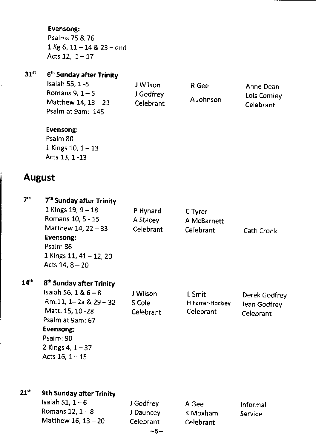#### Evensong:

Psalms 75 & 76  $1$  Kg 6,  $11-14$  &  $23-$ end Acts 12,  $1-17$ 

### 31<sup>st</sup> 6<sup>th</sup> Sunday after Trinity

Isaiah 55, 1 -5 J Wilson R Gee Anne Dean<br>Romans 9, 1 - 5 J Godfrey (1990), 1 Lois Comley Matthew 14,  $13 - 21$ Psalm at 9am: 145

J Godfrey A Johnson Lois Comley<br>Celebrant A Johnson Celebrant

celebrant

#### Evensong:

Psalm 80 1 Kings 10,  $1 - 13$ Acts 13. 1 -13

### August

| 7 <sup>th</sup>  | 7 <sup>th</sup> Sunday after Trinity<br>1 Kings 19, $9 - 18$<br>Romans 10, 5 - 15<br>Matthew 14, 22 - 33<br>Evensong:<br>Psalm 86<br>1 Kings 11, 41 - 12, 20<br>Acts $14, 8 - 20$                 | P Hynard<br>A Stacey<br>Celebrant | C Tyrer<br>A McBarnett<br>Celebrant     | Cath Cronk                                 |
|------------------|---------------------------------------------------------------------------------------------------------------------------------------------------------------------------------------------------|-----------------------------------|-----------------------------------------|--------------------------------------------|
| 14 <sup>th</sup> | 8 <sup>th</sup> Sunday after Trinity<br>Isaiah 56, 1 & 6 - 8<br>Rm.11, 1-2a & 29-32<br>Matt. 15, 10 -28<br>Psalm at 9am: 67<br>Evensong:<br>Psalm: 90<br>2 Kings 4, $1 - 37$<br>Acts $16, 1 - 15$ | J Wilson<br>S Cole<br>Celebrant   | L Smit<br>H Farrar-Hockley<br>Celebrant | Derek Godfrey<br>Jean Godfrey<br>Celebrant |
| $21^{\rm st}$    | 9th Sunday after Trinity                                                                                                                                                                          |                                   |                                         |                                            |

| Matthew $16.13 - 20$<br>Celebrant<br>Celebrant | Isaiah 51, 1 – 6<br>Romans $12, 1-8$ | J Godfrey<br>J Dauncey | A Gee<br>K Moxham | Informal<br>Service |
|------------------------------------------------|--------------------------------------|------------------------|-------------------|---------------------|
|------------------------------------------------|--------------------------------------|------------------------|-------------------|---------------------|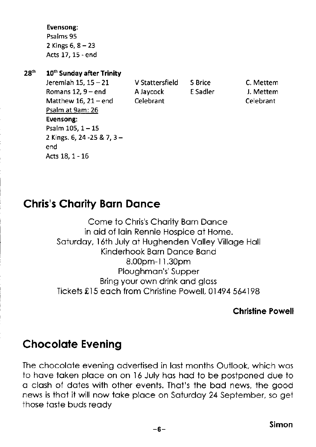Evensong: Psalms 95 2 Kings  $6, 8 - 23$ Acts 17, 15 - end

#### 28<sup>th</sup> 10<sup>th</sup> Sunday after Trinity

Jeremiah 15, 15 - 21 V Stattersfield S Brice C. Mettem Romans 12, 9 - end A Javcock E Sadler J. Mettem Matthew 16, 21 – end Celebrant Celebrant Celebrant Psalm at 9am: 26 Evensong: Psalm 105, 1-15 2 Kings.6,24-25&7,3 end Acts18,1-16

## **Chris's Charity Barn Dance**

Come to Chris's Chority Born Donce in aid of lain Rennie Hospice at Home. Soturdoy, 16th July ot Hughenden Volley Villoge Holl Kinderhook Born Donce Bond 8.00pm-1 l.30pm Ploughmon's' Supper Bring your own drink ond gloss Tickets £15 each from Christine Powell, 01494 564198

#### Christine Powell

### Chocolole Evening

The chocolate evening advertised in last months Outlook, which was fo hove token ploce on on l6 July hos hod to be postponed due to o closh of dotes with other events. Thot's the bod news, the good news is thot it will now toke ploce on Soturdoy 24 Sepiember, so get those toste buds reody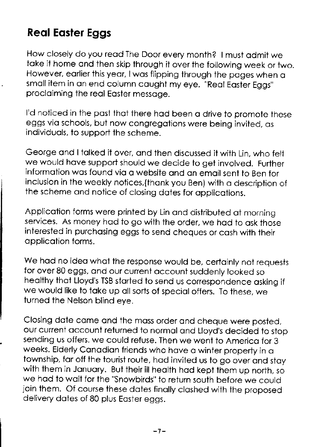# **Real Easter Eggs**

How closely do you reod The Door every month? | must odmit we toke it home ond then skip through it over the following week or two. However, earlier this year, I was flipping through the pages when a small item in an end column caught my eye. "Real Easter Eggs" procloiming the reol Eoster messoge.

I'd noticed in the past that there had been a drive to promote these eggs vio schools, but now congregotions were being invited, os individuols, to support the scheme.

George and I talked it over, and then discussed it with Lin, who felt we would have support should we decide to get involved. Further information was found via a website and an email sent to Ben for inclusion in the weekly notices, (thank you Ben) with a description of the scheme ond notice of closing dotes for opplicotions.

Application forms were printed by Lin and distributed at morning services. As money had to go with the order, we had to ask those interested in purchosing eggs to send cheques or cosh with iheir opplicotion forms.

We had no idea what the response would be, certainly not requests for over 80 eggs, ond our current occount suddenly looked so heolthy thot Lloyd's TSB storted to send us correspondence osking if we would like to take up all sorts of special offers. To these, we turned the Nelson blind eye.

Closing dote come ond the moss order ond cheque were posted, our current occount returned to normol ond Lloyd's decided to stop sending us offers. we could refuse. Then we went to Americo for 3 weeks. Elderly Canadian friends who have a winter property in a township, far off the tourist route, had invited us to go over and stay with them in January. But their ill health had kept them up north, so we had to wait for the "Snowbirds" to return south before we could join them. Of course these dates finally clashed with the proposed delivery dates of 80 plus Easter eggs.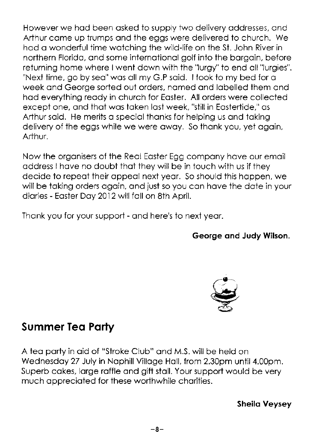However we hod been osked io supply two delivery oddresses, ond Arthur come up trumps ond the eggs were delivered to church. We hod o wonderful time wotching the wild-life on the St. John River in northern Florido, ond some internoiionol golf into the borgoin, before returning home where lwent down with the "lurgy" to end oll"lurgies". "Next time, go by sea" was all my G.P said. I took to my bed for a week ond George sorted out orders, nomed ond lobelled them ond hod everything reody in church for Eoster. All orders were collected except one, and that was taken last week, "still in Eastertide," as Arthur said. He merits a special thanks for helping us and taking delivery of the eggs while we were away. So thank you, yet again, Arthur.

Now fhe orgonisers of the Reol Eoster Egg compony hove our emoil address I have no doubt that they will be in touch with us if they decide to repeot their oppeol next yeor. So should ihis hoppen, we will be taking orders again, and just so you can have the date in your diories - Eoster Doy 2012 will foll on 8ih April.

Thank you for your support - and here's to next year.

George ond Judy Wilson.



## Summer Teq Porty

A tea party in aid of "Stroke Club" and M.S. will be held on Wednesdoy 27 July in Nophill Villoge Holl, from 2.30pm until 4.O0pm. Superb cakes, large raffle and gift stall. Your support would be very much appreciated for these worthwhile charities.

Sheilo Veysey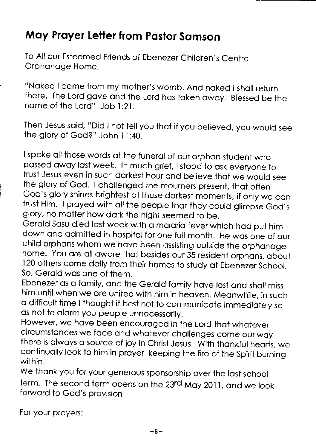# May Prayer Letter from Pastor Samson

To All our Esteemed Friends of Ebenezer Children's Centre Orphanage Home.

"Noked I come from my mother's womb. And noked I sholl return there. The Lord gove ond the Lord hos token owoy. Blessed be the nome of the Lord" Job l:2i.

Then Jesus soid, "Did I not tell you thot if you believed, you would see the glory of God?" John 11:40.

I spoke all those words at the funeral of our orphan student who possed owoy lost week. In much grief, I stood to osk everyone ro trust Jesus even in such dorkest hour ond believe thot we would see the alory of God. I challenged the mourners present, that often God's glory shines brighiest of those dorkest momenis, if only we con trust Him. I prayed with all the people that they could glimpse God's glory, no motter how dork the night seemed to be.

Gerald Sasu died last week with a malaria fever which had put him down and admitted in hospital for one full month. He was one of our child orphans whom we have been assisting outside the orphanage home. You are all aware that besides our 35 resident orphans, about I20 others come doily from their homes to study of Ebenezer school. So. Gerald was one of them.

Ebenezer as a family, and the Gerald family have lost and shall miss him until when we are united with him in heaven. Meanwhile, in such o difficult time I thought it best not to communicoie immediotely so as not to alarm you people unnecessarily.

However, we have been encouraged in the Lord that whatever circumstances we face and whatever challenges come our way there is always a source of joy in Christ Jesus. With thankful hearts, we continuolly look to him in proyer keeping the fire of ihe spirit burning within.

We thank you for your generous sponsorship over the last school term. The second term opens on the 23rd May 2011, and we look forword to God's provision.

For your proyers;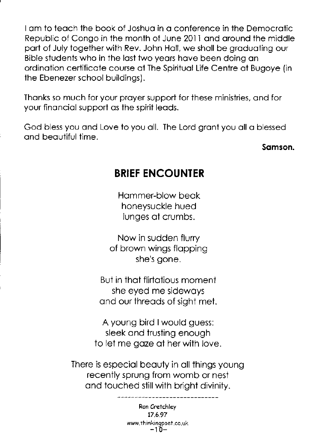I om to teoch the book of Joshuo in o conference in ihe Democrotic Republic of Congo in the month of June 201I ond oround the middle port of July together with Rev. John Holl, we sholl be groduoting our Bible students who in the lost two yeors hove been doing on ordinotion certificote course of The Spirituol Life Centre of Bugoye (in the Ebenezer school buildings).

Thonks so much for your proyer support for these ministries, ond for your finonciol support os the spirit leods.

God bless you ond Love to you oll. The Lord gront you oll o blessed and beautiful time.

somson.

## BRIEF ENCOUNTER

Hommer-blow beok honeysuckle hued lunges of crumbs.

Now in sudden flurry of brown wings flopping she's oone.

But in that flirtatious moment she eyed me sidewoys ond our threods of sight met.

A young bird lwould guess: sleek ond trusting enough to let me goze of her with love.

There is especiol beouty in oll things young recently sprung from womb or nest and touched still with bright divinity.

> Ron Cretchley 17.6.97 www.thinkingpoet.co.uk<br> $-10-$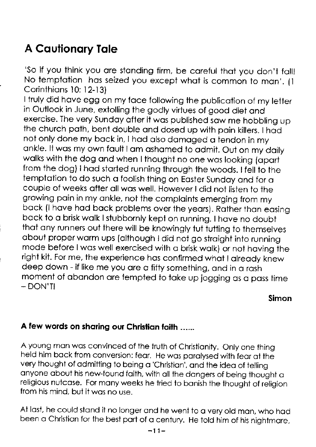# **A Cautionary Tale**

'So if you think you are standing firm, be careful that you don't fall! No temptation has seized you except what is common to man'. (1 Corinthians 10: 12-13)

I truly did have egg on my face following the publication of my letter in Outlook in June, extolling the godly virtues of good diet and exercise. The very Sunday after it was published saw me hobbling up the church path, bent double and dosed up with pain killers. I had not only done my back in, I had also damaged a tendon in my ankle. It was my own fault I am ashamed to admit. Out on my daily walks with the dog and when I thought no one was looking (apart from the dog) I had started running through the woods. I fell to the temptation to do such a foolish thing on Easter Sunday and for a couple of weeks after all was well. However I did not listen to the growing pain in my ankle, not the complaints emerging from my back (I have had back problems over the years). Rather than easing back to a brisk walk I stubbornly kept on running. I have no doubt that any runners out there will be knowingly tut tutting to themselves about proper warm ups (although I did not go straight into running mode before I was well exercised with a brisk walk) or not having the right kit. For me, the experience has confirmed what I already knew deep down - if like me you are a fifty something, and in a rash moment of abandon are tempted to take up jogging as a pass time  $-$  DON'TI

Simon

### A few words on sharing our Christian faith ......

A young man was convinced of the truth of Christianity. Only one thing held him back from conversion: fear. He was paralysed with fear at the very thought of admitting to being a 'Christian', and the idea of telling anyone about his new-found faith, with all the dangers of being thought a religious nutcase. For many weeks he tried to banish the thought of religion from his mind, but it was no use.

At last, he could stand it no longer and he went to a very old man, who had been a Christian for the best part of a century. He told him of his nightmare,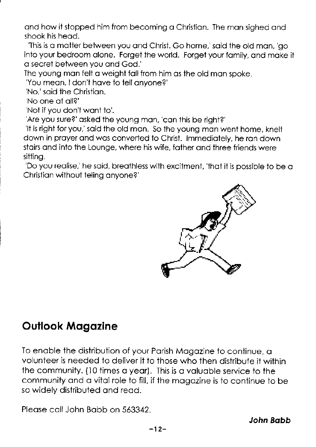and how it stopped him from becoming a Christian. The man sighed and shook his head.

'This is a matter between you and Christ. Go home,' said the old man, 'go into your bedroom alone. Forget the world. Forget your family, and make it a secret between you and God.'<br>The young man felt a weight fall from him as the old man spoke.

"You mean, I don't have to tell anyone?"<br>"No," said the Christian.<br>"No one at all?"<br>"Not if you don't want to".<br>"Are you sure?" asked the young man, "can this be right?"<br>"It is right for you," said the old man. So the youn down in proyer ond wos converted to Christ. lmmediotely, he ron down stoirs ond into the Lounge, where his wife, fother ond three friends were

sitting.<br>'Do you realise,' he said, breathless with excitment, 'that it is possible to be a Christion without teling onyone?'



## Oullook Mogozine

To enable the distribution of your Parish Magazine to continue, a volunteer is needed io deliver ii to those who then distribute it within the community. (10 times o yeor). This is o voluoble service to the communiiy ond o vitol role to fill, if the mogozine is to continue to be so widely distributed ond reod.

Pleose coll John Bobb on 563342.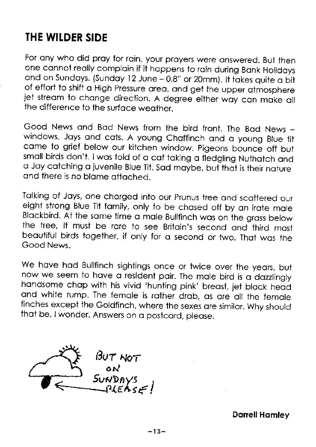## THE WILDER SIDE

For any who did pray for rain, your prayers were answered. But then one connot reolly comploin if it hoppens io roin during Bonk Holidoys and on Sundays. (Sunday 12 June - 0.8" or 20mm). It takes quite a bit of effort to shift o High pressure oreo, ond get the upper otmosphere jet stream to change direction. A degree either way can make all the difference to the surface weather.

Good News and Bad News from the bird front. The Bad News windows, Jays and cats. A young Chaffinch and a young Blue tit came to grief below our kitchen window. Pigeons bounce off but small birds don't. I was told of a cat taking a fledgling Nuthatch and o Joy cotching o juvenile Blue Tit. sod moybe, but thot is their noture ond there is no blome ottoched.

Talking of Jays, one charged into our Prunus tree and scattered our eight strong Blue Tit family, only to be chased off by an irate male Blockbird. At the some time o mole Bullfinch wos on the gross below the tree, lt must be rore to see Britoin's second ond third most beoutiful birds together. if only for o second or two. Thot wos the Good News.

We have had Bullfinch sightings once or twice over the years, but now we seem to have a resident pair. The male bird is a dazzlingly handsome chap with his vivid 'hunting pink' breast, jet black head ond white rump. The femole is rother drob, os ore oll ihe femole finches except the Goldfinch, where the sexes ore similor. why should that be, I wonder. Answers on a postcard, please.

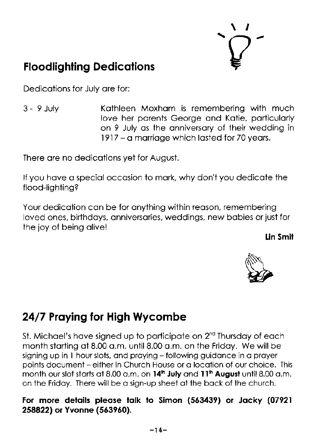

# **Floodlighting Dedications**

Dedicotions for July ore for:

3 - 9 July Kothleen Moxhom is remembering with much love her porents George ond Kotie, porticulorly on 9 July os the onniversory of their wedding in 1917 - o morrioge which losted for 70 yeors.

There ore no dedicotions yet for August.

lf you hove o speciol occosion to mork, why don't you dedicote the flood-lighting?

Your dedication can be for anything within reason, remembering loved ones, birthdoys, onniversories, weddings, new bobies or just for the joy of being alive!

lin Smit



# 24/7 Proying for High Wycombe

St. Michael's have signed up to participate on  $2<sup>nd</sup>$  Thursday of each month starting at 8.00 a.m. until 8.00 a.m. on the Friday. We will be signing up in 1 hour slots, and praying - following guidance in a prayer points document - either in Church House or a location of our choice. This month our slot starts at 8.00  $\alpha$ .m. on 14<sup>th</sup> July and 11<sup>th</sup> August until 8.00  $\alpha$ .m. on the Fridoy. There will be o sign-up sheet ol the bock of the church.

### For more details please talk to Simon (563439) or Jacky (07921 258822) or Yvonne (563960).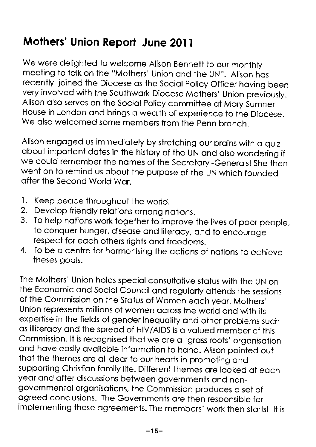# Mothers' Union Report June 2011

We were delighted to welcome Alison Bennett to our monthly meeting to tolk on the "Mothers' Union ond the UN". Alison hos recently ioined the Diocese as the Social Policy Officer having been very involved with the southwork Diocese Mothers' Union previously. Alison also serves on the Social Policy committee at Mary Sumner House in London ond brings o weolth of experience to the Diocese. We also welcomed some members from the Penn branch.

Alison engaged us immediately by stretching our brains with a quiz obout importont dotes in the history of the UN ond olso wondering if we could remember the names of the Secretary -Generals! She then went on to remind us obout the purpose of the uN which founded ofter the Second World Wor.

- 1. Keep peace throughout the world.
- 2. Develop friendly relations among nations.
- To help nations work together to improve the lives of poor people,  $3.$ to conquer hunger, diseose ond literocy, ond to encouroge respect for each others rights and freedoms.
- 4. To be o centre for hormonising the octions of notions to ochieve theses goals.

The Mothers' Union holds special consultative status with the UN on the Economic and Social Council and regularly attends the sessions of the commission on the stotus of women eoch yeor. Mothers' Union represents millions of women ocross the world ond with its experlise in the fields of gender inequolity ond other problems such as illiteracy and the spread of HIV/AIDS is a valued member of this Commission. It is recognised that we are a 'grass roots' organisation ond hove eosily ovoiloble informotion to hond. Alison oointed out thot the themes ore oll deor to our heorts in promoting ond supporting Christian family life. Different themes are looked at each year and after discussions between governments and nongovernmentol orgonisoiions, the commission produces o sei of ogreed conclusions. The Governments ore then responsible for implementing these ogreements. The members' work then storis! lt is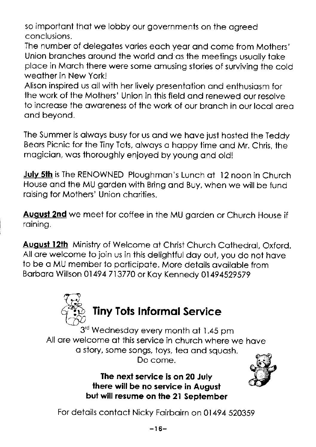so important that we lobby our governments on the agreed conclusions.

The number of delegates varies each year and come from Mothers' Union branches around the world and as the meetings usually take place in March there were some amusing stories of surviving the cold weather in New York!

Alison inspired us all with her lively presentation and enthusiasm for the work of the Mothers' Union in this field and renewed our resolve to increase the awareness of the work of our branch in our local area and beyond.

The Summer is always busy for us and we have just hosted the Teddy Bears Picnic for the Tiny Tots, always a happy time and Mr. Chris, the magician, was thoroughly enjoyed by young and old!

July 5th is The RENOWNED Ploughman's Lunch at 12 noon in Church House and the MU garden with Bring and Buy, when we will be fund raising for Mothers' Union charities.

**August 2nd** we meet for coffee in the MU garden or Church House if raining.

August 12th Ministry of Welcome at Christ Church Cathedral, Oxford. All are welcome to join us in this delightful day out, you do not have to be a MU member to participate. More details available from Barbara Willson 01494 713770 or Kay Kennedy 01494529579



3rd Wednesday every month at 1.45 pm All are welcome at this service in church where we have a story, some sonas, toys, tea and sauash. Do come.

> The next service is on 20 July there will be no service in August but will resume on the 21 September



For details contact Nicky Fairbairn on 01494 520359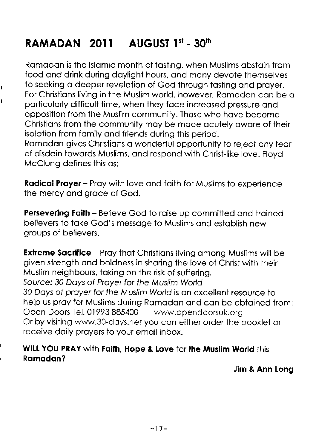# RAMADAN 2011 AUGUST  $1<sup>st</sup>$  -  $30<sup>th</sup>$

,

Romodon is the lslomic month of fosting, when Muslims obstoin from food ond drink during doylight hours, ond mony devote themselves to seeking a deeper revelation of God through fasting and prayer. For Christions living in the Muslim world, however, Romodon con be o particularly difficult time, when they face increased pressure and opposition from the Muslim community. Those who hove become Christions from ihe community moy be mode ocutely owore of their isolotion from fomily ond friends during this period. Ramadan gives Christians a wonderful opportunity to reject any fear of disdoin towords Muslims, ond respond with Christ-like love. Floyd McClung defines this os:

Radical Prayer - Pray with love and faith for Muslims to experience the mercy ond groce of God.

**Persevering Faith - Believe God to raise up committed and trained** believers to toke God's messoge to Muslims ond estoblish new groups of believers.

**Extreme Sacrifice** - Pray that Christians living among Muslims will be given strength ond boldness in shoring the love of Christ with their Muslim neighbours. toking on the risk of suffering. Source: 30 Doys of Proyer for fhe Muslim World 30 Doys of proyer for fhe Muslim World is on excellent resource to help us pray for Muslims during Ramadan and can be obtained from: Open Doors Tel. 01993 885400 wvwv.opendoorsuk.org Or by visiting www.30-doys.net you con either order the booklef or receive doily proyers to your emoil inbox.

### WILL YOU PRAY with Faith, Hope & Love for the Muslim World this r Romodon?

Jim & Ann long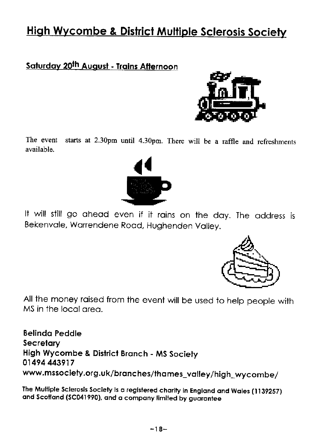# **High Wycombe & District Multiple Sclerosis Society**

### Saturday 20th August - Trains Afternoon



starts at 2.30pm until 4.30pm. There will be a raffle and refreshments The event available



It will still go ahead even if it rains on the day. The address is Bekenvale, Warrendene Road, Hughenden Valley.



All the money raised from the event will be used to help people with MS in the local area.

**Belinda Peddle** Secretary High Wycombe & District Branch - MS Society 01494 443917 www.mssociety.org.uk/branches/thames\_valley/high\_wycombe/

The Multiple Sclerosis Society is a registered charity in England and Wales (1139257) and Scotland (SC041990), and a company limited by guarantee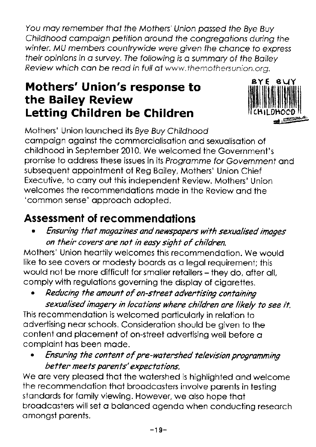You may remember that the Mothers' Union passed the Bye Buy Childhood compoign pefifion oround fhe congregotions during fhe winter. MU members countrywide were given the chance to express their opinions in a survey. The following is a summary of the Bailey Review which can be read in full at www.themothersunion.org.

# **EXTE SUY Mothers' Union's response to APTE BUY** the Bailey Review Letting Children be Children



Mothers' Union launched its Bye Buy Childhood compoign ogoinst the commerciolisotion ond sexuolisotion of childhood in September 2010. We welcomed the Government's promise to address these issues in its Programme for Government and subsequent appointment of Reg Bailey, Mothers' Union Chief Executive, to corry out this independent Review. Mothers' Union welcomes the recommendations made in the Review and the 'common sense' approach adopted.

# Assessment of recommendotions

. Ensuring fhat magazines and newspapers with sexualised images on their covers are not in easy sight of children.

Mothers' Union heortily welcomes this recommendotion. We would like to see covers or modesty boords os o legol requirement; this would not be more difficult for smaller retailers - they do, after all, comply with regulotions governing the disploy of cigorettes.

Reducing the amount of on-street advertising containing sexualised inagery in locafions where children are likely fo see it.

This recommendotion is welcomed porticulorly in relotion to odvertising neor schools. Considerotion should be given to the content ond plocement of on-street odvertising well before o comploint hos been mode.

. Ensuring the confent of pre-wafershed felewsion programming better meets parents' expectations.

We are very pleased that the watershed is highlighted and welcome the recommendation that broadcasters involve parents in testing stondords for fomily viewing. However, we olso hope thot broadcasters will set a balanced agenda when conducting research omongst porenfs.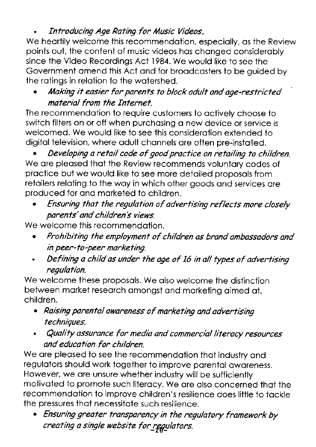### Introducing Age Rating for Music Videos.

We heartily welcome this recommendation, especially, as the Review points out, the content of music videos hos chonged considerobly since the Video Recordings Act I984. We would like to see the Government omend this Act ond for broodcosters to be guided by the rotings in relotion to the wotershed.

### Making it easier for parents to block adult and age-restricted material from fhe fnternet.

The recommendotion to require customers to octively choose to switch filters on or off when purchasing a new device or service is welcomed. We would like to see this considerotion extended to digitol television, where odult chonnels ore often pre-instolled.

Developing a retail code of good practice on retailing to children. We are pleased that the Review recommends voluntary codes of proctice but we would like to see more detoiled proposols from retailers relating to the way in which other goods and services are produced for ond morketed to children.

. Ensuring that the regulation of adverfising reflects more closely parents' and children's views.

We welcome this recommendation.

- . Prohibiting the enployment of children as brand anbassadors and in peer-to -peer markefing.
- Defining a child as under the age of 16 in all types of advertising regulation.

We welcome these proposals. We also welcome the distinction between market research amongst and marketing aimed at, children.

- . Raising parental awareness of narkefing and adverfising techniques.
- Quality assurance for media and commercial literacy resources and education for children.

We are pleased to see the recommendation that industry and regulotors should work together to improve porentol oworeness. However, we ore unsure whether industry will be sufficiently motivated to promote such literacy. We are also concerned that the recommendotion to improve children's resilience does little to tockle the pressures thot necessitote such resilience.

. Ensuring greafer transparency in fhe regulafory framework by creating a single website for regulators.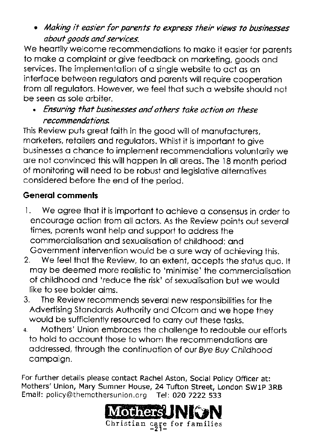• Making it easier for parents to express their views to businesses abouf goods and services.

We heartily welcome recommendations to make it easier for parents to moke o comploint or give feedbock on morketing, goods ond services. The implementation of a single website to act as an interfoce between regulotors ond porents will require cooperotion from all regulators. However, we feel that such a website should not be seen os sole orbiter.

. Ensuring that businesses and others take action on these recommendations.

This Review puts greot foith in the good will of monufocturers, morketers, retoilers ond regulotors. Whilst it is importont to give businesses o chonce to implement recommendotions voluntorily we ore not convinced this will hoppen in oll oreos. The '18 month period of monitoring will need to be robust ond legislotive olternotives considered before the end of the oeriod.

### Generol comments

- l. We ogree thot it is importoni to ochieve o consensus in order to encouroge oction from oll octors. As the Review points out severol times, porents wont help ond support to oddress the commerciolisotion ond sexuolisotion of childhood; ond Government intervention would be o sure woy of ochieving this.
- 2. We feel that the Review, to an extent, accepts the status quo. It moy be deemed more reolistic to 'minimise' the commerciolisotion of childhood ond 'reduce the risk' of sexuolisotion but we would like to see bolder oims.
- 3. The Review recommends severol new responsibilities for the Advertising Stondords Authoriiy ond Ofcom ond we hope they would be sufficiently resourced to corry out ihese tosks.
- Mothers' Union embraces the challenge to redouble our efforts to hold to occount those to whom the recommendotions ore oddressed, through the continuotion of our Bye Buy Childhood campaign.

For further details please contact Rachel Aston, Social Policy Officer at: Mothers'Union, Mary Sumner House, 24 Tufton Street, London SWlp 3RB Email: policy@themothersunion.orq Tel: 020 7222 533

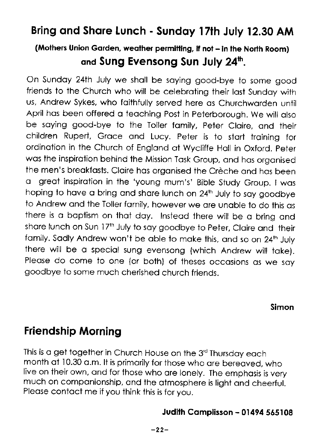## Bring ond Shore Lunch - Sundqy 17lh July 12.30 AM

### (Mothers Union Garden, weather permitting, if not - in the North Room) and Sung Evensong Sun July 24th.

On Sundoy 24th July we sholl be soying good-bye to some good friends to the church who will be celebroting their lost sundoy with us, Andrew Sykes, who faithfully served here as Churchwarden until April has been offered a teaching Post in Peterborough. We will also be saying good-bye to the Toller family, Peter Claire, and their children Rupert, Groce ond Lucy. Peter is to stort iroining for ordination in the Church of England at Wycliffe Hall in Oxford. Peter was the inspiration behind the Mission Task Group, and has organised the men's breakfasts. Claire has organised the Crèche and has been o greot inspirotion in the 'young mum's' Bible Study Group. I wos hoping to have a bring and share lunch on  $24<sup>th</sup>$  July to say goodbye to Andrew and the Toller family, however we are unable to do this as there is a baptism on that day. Instead there will be a bring and share lunch on Sun 17<sup>th</sup> July to say goodbye to Peter, Claire and their family. Sadly Andrew won't be able to make this, and so on 24<sup>th</sup> July there will be a special sung evensong (which Andrew will take). Please do come to one (or both) of theses occasions as we say goodbye to some much cherished church friends.

Simon

## Friendship Morning

This is a get together in Church House on the 3<sup>rd</sup> Thursday each mis is a gen logenter in Choich Hoose on the 3 Thorsday each<br>month at 10.30 a.m. It is primarily for those who are bereaved, who live on their own, and for those who are lonely. The emphasis is very much on componionship, ond the ofmosphere is light ond cheerful. Please contact me if you think this is for you.

### Judith Complisson - 01494 565108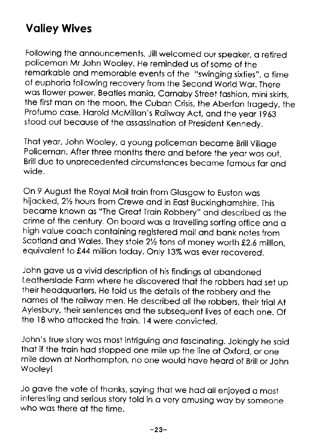# Volley Wives

Following the announcements, Jill welcomed our speaker, a retired policemon Mr John Wooley. He reminded us of some of the remarkable and memorable events of the "swinging sixties", a time of euphoria following recovery from the Second World War. There was flower power, Beatles mania, Carnaby Street fashion, mini skirts, the first mon on the moon, the cubon crisis, ihe Aberfon trogedy, the Profumo case, Harold McMillan's Railway Act, and the year 1963 stood out becouse of the ossossinotion of president Kennedy.

That year, John Wooley, a young policeman became Brill Village Policeman. After three months there and before the year was out, Brill due to unprecedented circumstances became famous far and wide.

On 9 August the Royol Moil troin from Glosgow to Euston wos hijacked, 21/<sub>2</sub> hours from Crewe and in East Buckinghamshire. This become known os "The Greot Troin Robbery" ond described os the crime of the century. On board was a travelling sorting office and a high value coach containing registered mail and bank notes from Scotland and Wales. They stole 21/2 tons of money worth £2.6 million, equivalent to £44 million today. Only 13% was ever recovered.

John gave us a vivid description of his findings at abandoned Leotherslode Form where he discovered thot the robbers hod set uo their heodquorters. He told us the detoils of the robbery ond the names of the railway men. He described all the robbers, their trial At Aylesbury, their sentences and the subsequent lives of each one. Of the 18 who attacked the train, 14 were convicted.

John's true story wos most intriguing ond foscinoting. Jokingly he soid that if the train had stopped one mile up the line at Oxford, or one mile down at Northampton, no one would have heard of Brill or John Wooley!

Jo gove ihe vote of thonks, soying thot we hod oll enjoyed o most interesting and serious story told in a very amusing way by someone who was there at the time.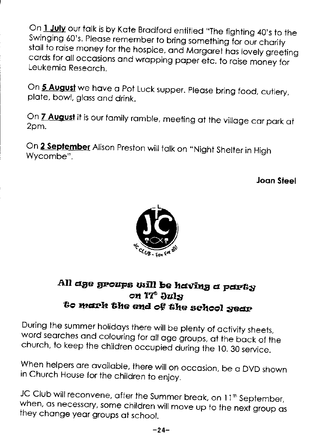On 1 July our talk is by Kate Bradford entitled "The fighting 40's to the Swinging 60's. Please remember to bring something for our charity stall to raise money for the hospice, and Margaret has lovely greeting cards for all occasions and wrapping paper etc. to raise money for Leukemia Research.

On 5 August we have a Pot Luck supper. Please bring food, cutlery, plate, bowl, glass and drink.

On **7 August** it is our family ramble, meeting at the village car park at 2pm.

On 2 September Alison Preston will talk on "Night Shelter in High Wycombe".

Joan Steel



### All ase sroups will be having a party on *'I'*<sup>6</sup> July to mark the end of the school year

During the summer holidays there will be plenty of activity sheets, word searches and colouring for all age groups, at the back of the church, to keep the children occupied during the 10. 30 service.

When helpers are available, there will on occasion, be a DVD shown in Church House for the children to enjoy.

JC Club will reconvene, after the Summer break, on 11<sup>th</sup> September, when, as necessary, some children will move up to the next group as they change year groups at school.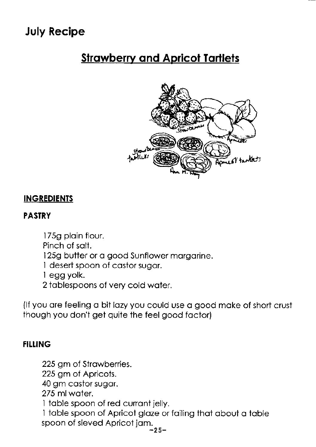# July Recipe

# **Strawberry and Apricot Tartlets**



### INGREDIENTS

#### PASTRY

- 175g plain flour.
- Pinch of solt.
- 125g butter or a good Sunflower margarine.
- I desert spoon of costor sugor.
- I egg yolk.
- 2 toblespoons of very cold woter.

(If you are feeling a bit lazy you could use a good make of short crust though you don't get quite the feel good foctor)

### **FILLING**

225 gm of Strowberries. 225 gm of Apricots. 40 gm costor sugor. 275 ml woier. I toble spoon of red curront jelly. 1 table spoon of Apricot glaze or failing that about a table spoon of sieved Apricot jam.<br> $-25$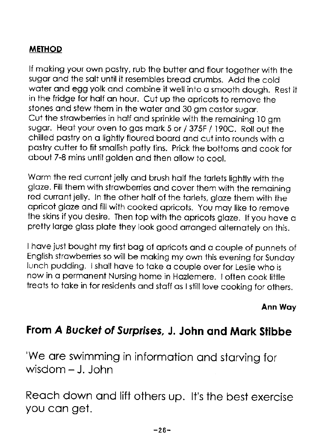### METHOD

lf moking your own postry, rub the butter ond flour together with the sugor ond the solt uniil it resembles breod crumbs. Add ihe cold woter ond egg yolk ond combine it well into o smooth dough. Rest it in the fridge for holf on hour. Cut up the opricots to remove the stones ond stew them in the woter ond 30 gm costor sugor. Cut the strowberries in holf ond sprinkle with the remoining l0 gm sugar. Heat your oven to gas mark 5 or / 375F / 190C. Roll out the chilled pastry on a lightly floured board and cut into rounds with a postry cutter to fit smollish potiy tins. Prick the bottoms ond cook for obout 7-8 mins untilgolden ond ihen ollow to cool.

Warm the red currant jelly and brush half the tarlets lightly with the alaze. Fill them with strawberries and cover them with the remaining red curront jelly. In the other holf of the torlets, gloze them with the opricot gloze ond fillwith cooked opricots. you moy like to remove the skins if you desire. Then top with the apricots glaze. If you have a pretty large glass plate they look good arranged alternately on this.

I have just bought my first bag of apricots and a couple of punnets of English strowberries so will be moking my own this evening for sundoy lunch pudding. I shall have to take a couple over for Leslie who is now in a permanent Nursing home in Hazlemere. I often cook little treats to take in for residents and staff as I still love cooking for others.

Ann Woy

## From A Bucket of Surprises, J. John and Mark Stibbe

'We are swimming in information and starving for wisdom - J. John

Reoch down ond lift others up. lt's the best exercise you con get.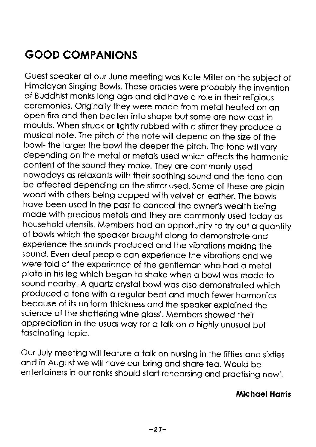# GOOD COMPANIONS

Guest speoker of our June meeting wos Kote Miiler on the subject of Himalavan Sinaina Bowls. These articles were probably the invention of Buddhist monks long ogo ond did hove o role in their religious ceremonies. originolly they were mode from metol heoted on on open fire and then beaten into shape but some are now cast in moulds. When struck or lightly rubbed with a stirrer they produce a musicol note. The pitch of the note will depend on the size of the bowl- the larger the bowl the deeper the pitch. The tone will vary depending on the metol or metols used which offects the hormonic content of the sound they moke. They ore commonly used nowodoys os reloxonts with their soothing sound ond the rone con be offected depending on ihe stirrer used. some of these ore ploin wood with others being capped with velvet or leather. The bowls have been used in the past to conceal the owner's wealth being mode with precious metols ond they ore commonly used todoy os household utensils. Members had an opportunity to try out a quantity of bowls which the speoker brought olong to demonstrote ond experience the sounds produced ond the vibrotions moking the sound. Even deaf people can experience the vibrations and we were told of the experience of the genflemon who hod o metol plote in his leg which begon to shoke when o bowlwos mode to sound nearby. A quartz crystal bowl was also demonstrated which produced o tone with o regulor beot ond much fewer hormonics because of its uniform thickness and the speaker explained the science of the shattering wine glass'. Members showed their appreciation in the usual way for a talk on a highly unusual but foscinoting topic.

Our July meeting will feature a talk on nursing in the fifties and sixties ond in August we will hove our bring ond shore teo. Would be entertoiners in our ronks should stort reheorsing ond proctising now'.

#### Michoel Horris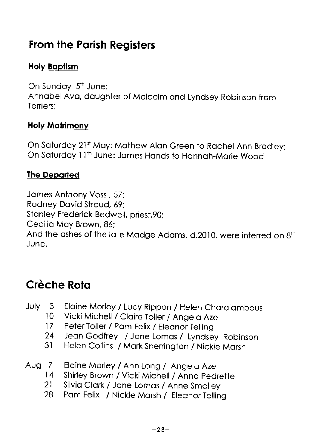## From the Porish Registers

### **Holy Baptism**

On Sunday 5<sup>th</sup> June: Annobel Avo, doughter of Molcolm ond Lyndsey Robinson from Terriers;

#### **Holy Matrimonv**

On Saturday 21st May: Mathew Alan Green to Rachel Ann Bradley; On Saturday 11<sup>th</sup> June: James Hands to Hannah-Marie Wood

### The Deporled

James Anthony Voss, 57; Rodney Dovid Stroud, 69; Stonley Frederick Bedwell, priest,90; Cecilio Moy Brown,86; And the ashes of the late Madge Adams, d.2010, were interred on  $8<sup>th</sup>$ June.

## Crèche Rota

- July 3 Elaine Morley / Lucy Rippon / Helen Charalambous<br>10 Vicki Michell / Claire Joller / Angela Aze
	- 10 Vicki Michell / Claire Toller / Angela Aze<br>17 Peter Toller / Pam Felix / Fleanor Telling
	- 17 Peter Toller / Pam Felix / Eleanor Telling<br>24 Dean Godfrey / Jane Lomas / Tyndse
	- 24 Jeon Godfrey / Jone Lomos / Lyndsey Robinson
	- Helen Collins / Mark Sherrington / Nickie Marsh
- Aug 7 Elaine Morley / Ann Long / Angela Aze<br>14 Shirley Brown / Vicki Michell / Anna Ped
	- 14 Shirley Brown / Vicki Michell / Anna Pedrette<br>21 Silvia Clark / Jane Lomas / Anne Smalley
	- 21 Silvia Clark / Jane Lomas / Anne Smalley<br>28 Pam Felix / Nickie Marsh / Fleanor Tellin
	- Pam Felix / Nickie Marsh / Eleanor Telling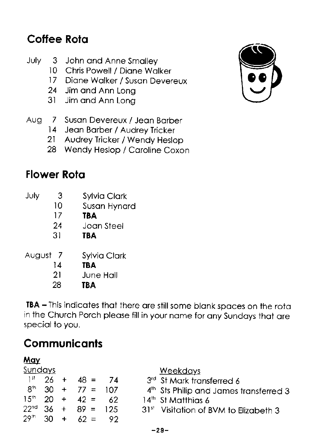# Coffee Rota

- July 3 John and Anne Smalley
	- 10 Chris Powell / Diane Walker
	- 17 Diane Walker / Susan Devereux
	- 24 Jim and Ann Lona
	- 31 Jim and Ann Long
- 7 Susan Devereux / Jean Barber Aug
	- 14 Jean Barber / Audrey Tricker
	- Audrey Tricker / Wendy Heslop  $21$

74

 $107$ 

62

125

92

 $62 =$ 

28 Wendy Heslop / Caroline Coxon

# **Flower Rota**

| July   | 3              | <b>Sylvia Clark</b> |
|--------|----------------|---------------------|
|        | 10             | Susan Hynard        |
|        | 17             | <b>TBA</b>          |
|        | 24             | Joan Steel          |
|        | 31             | ТВА                 |
| August | $\overline{7}$ | Sylvia Clark        |
|        | 14             | TBA                 |
|        | 21             | June Hall           |

28 **TBA** 

TBA - This indicates that there are still some blank spaces on the rota in the Church Porch please fill in your name for any Sundays that are special to you.

# **Communicants**

| <u>May</u>       |    |   |           |
|------------------|----|---|-----------|
| <u>Sundays</u>   |    |   |           |
| 1 st             | 26 | ٠ | 48 =      |
| għ               | 30 | ┿ | 77<br>$=$ |
| 15 <sup>th</sup> | 20 | ÷ | $42 =$    |
| 22 <sup>nd</sup> | 36 | ┿ | 89<br>$=$ |

29th

30

- 3rd St Mark transferred 6
- 4th Sts Philip and James transferred 3
- 14<sup>th</sup> St Matthias 6
- 31st Visitation of BVM to Elizabeth 3

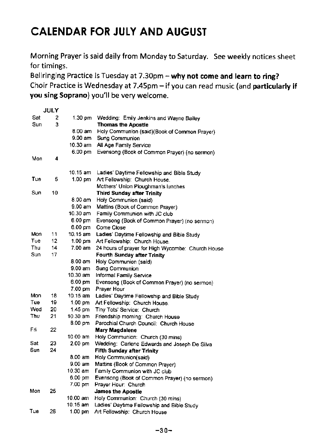# CALENDAR FOR JULY AND AUGUST

Morning Prayer is said daily from Monday to saturday. see weekly notices sheet for timings.

Bellringing Practice is Tuesday at 7.30pm - why not come and learn to ring? choir Practice is wednesday at 7.45pm - if you can read music (and particularly if you sing Soprano) you'll be very welcome.

|     | <b>JULY</b> |                    |                                                   |
|-----|-------------|--------------------|---------------------------------------------------|
| Sat | 2           | 1.30 pm            | Wedding: Emily Jenkins and Wayne Bailey           |
| Sun | 3           |                    | <b>Thomas the Apostle</b>                         |
|     |             | 8.00 am            | Holy Communion (said)(Book of Common Prayer)      |
|     |             | $9.00 \text{ am}$  | Sung Communion                                    |
|     |             | 10.30 am           | All Age Family Service                            |
|     |             | $6.00 \text{ pm}$  | Evensong (Book of Common Prayer) (no sermon)      |
| Mon | 4           |                    |                                                   |
|     |             |                    |                                                   |
|     |             | 10.15 am           | Ladies' Daytime Fellowship and Bible Study        |
| Tue | 5           | $1.00$ pm          | Art Fellowship: Church House.                     |
|     |             |                    | Mothers' Union Ploughman's lunches                |
| Sun | 10          |                    | <b>Third Sunday after Trinity</b>                 |
|     |             | 8.00 am            | Holy Communion (said)                             |
|     |             | $9.00$ am          | Mattins (Book of Common Prayer)                   |
|     |             | 10.30 am           | Family Communion with JC club                     |
|     |             | $6.00$ pm          | Evensong (Book of Common Prayer) (no sermon)      |
|     |             | 6.00 pm            | Come Close                                        |
| Mon | 11          | 10.15 am           | Ladies' Daytime Fellowship and Bible Study        |
| Tue | 12          | $1.00$ pm          | Art Fellowship: Church House.                     |
| Thu | 14          | 7.00 am            | 24 hours of prayer for High Wycombe. Church House |
| Sun | 17          |                    | Fourth Sunday after Trinity                       |
|     |             | 8.00 am            | Holy Communion (said)                             |
|     |             | 9.00 am            | Sung Communion                                    |
|     |             | 10.30 am           | Informal Family Service                           |
|     |             | $6.00~\text{nm}$   | Evensong (Book of Common Prayer) (no sermon)      |
|     |             | 7.00 pm            | Prayer Hour                                       |
| Mon | 18          | 10.15 am           | Ladies' Daytime Fellowship and Bible Study        |
| Tue | 19          | $1.00 \text{ pm}$  | Art Fellowship: Church House.                     |
| Wed | 20          | 1.45 pm            | Tiny Tots' Service: Church                        |
| Thu | 21          | $10.30$ am         | Friendship morning: Church House                  |
|     |             | 8.00 pm            | Parochial Church Council: Church House            |
| Fri | 22          |                    | Mary Magdalene                                    |
|     |             | 10.00 am           | Holy Communion: Church (30 mins)                  |
| Sat | 23          | 2.00 <sub>pm</sub> | Wedding: Carlene Edwards and Joseph De Silva      |
| Sun | 24          |                    | <b>Fifth Sunday after Trinity</b>                 |
|     |             | 8.00 am            | Holy Communion(said)                              |
|     |             | $9.00$ am          | Mattins (Book of Common Prayer)                   |
|     |             | 10.30 am           | Family Communion with JC club                     |
|     |             | 6.00 pm            | Evensong (Book of Common Prayer) (no sermon)      |
|     |             | 7.00 pm            | Prayer Hour: Church                               |
| Mon | 25          |                    | <b>James the Apostle</b>                          |
|     |             | 10.00 am           | Holy Communion: Church (30 mins)                  |
|     |             | 10.15 am           | Ladies' Daytime Fellowship and Bible Study        |
| Tue | 26          | 1.00 pm            | Art Fellowship: Church House                      |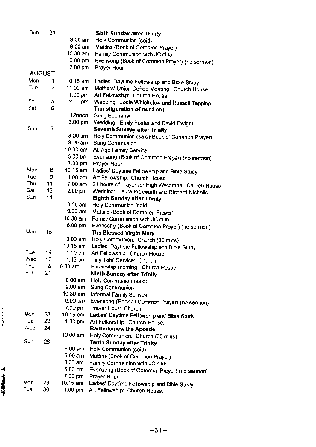| Sun    | 31             |                     | Sixth Sunday after Trinity                          |
|--------|----------------|---------------------|-----------------------------------------------------|
|        |                | 8.00 am             | Holy Communion (said)                               |
|        |                | 9.00 am             | Mattins (Book of Common Prayer)                     |
|        |                | 10.30 am            | Family Communion with JC club                       |
|        |                | 6.00 pm             | Evensong (Book of Common Prayer) (no sermon)        |
|        |                | 7.00 pm             | Prayer Hour                                         |
|        | <b>AUGUST</b>  |                     |                                                     |
| Mon    | 1              | 10.15 am            | Ladies' Daytime Fellowship and Bible Study          |
| ⊤Je    | $\overline{2}$ | 11.00 am            | Mothers' Union Coffee Morning: Church House         |
|        |                | 1.00 pm             | Art Fellowship: Church House.                       |
| Fri    | 5              | 2.00 <sub>pm</sub>  | Wedding: Jodie Whichelow and Russell Tapping        |
| Sat    | 6              |                     | <b>Transfiguration of our Lord</b>                  |
|        |                | 12noon.             | Sung Eucharist                                      |
|        |                | 2.00 pm             | Wedding: Emily Foster and David Dwight              |
| $St$ n | 7              |                     | Seventh Sunday after Trinity                        |
|        |                | 8.00 am             | Holy Communion (said)(Book of Common Prayer)        |
|        |                | 9.00 am             | Sung Communion                                      |
|        |                | 10.30 am            | All Age Family Service                              |
|        |                | 6.00 pm             | Evensong (Book of Common Prayer) (no sermon)        |
|        |                | 7.00 pm             | Prayer Hour                                         |
| Mon    | 8              | 10.15 am            | Ladies' Daytime Fellowship and Bible Study          |
| Tue    | 9              | 1.00 pm             | Art Fellowship: Church House.                       |
| Thu.   | 11             | 7.00 am             | 24 hours of prayer for High Wycombe: Church House   |
| Sat    | 13             | 2.00 pm             | Wedding: Laura Pickworth and Richard Nicholis       |
| Sun    | 14             |                     | Eighth Sunday after Trinity                         |
|        |                | 8.00 am             | Holy Communion (said)                               |
|        |                | 9.00 am             | Mattins (Book of Common Prayer)                     |
|        |                | $10.30$ am          | Family Communion with JC club                       |
|        |                | 6.00 pm             | Evensong (Book of Common Prayer) (no sermon)        |
| Mon    | 15             |                     | The Blessed Virgin Mary                             |
|        |                | 10.00 am            | Holy Communion: Church (30 mins)                    |
| ⊤ue    | 16             | $10.15 \text{ am}$  | Ladies' Daytime Fellowship and Bible Study          |
| -Ved   | 17             | $1.00$ pm           | Art Fellowship: Church House.                       |
| Thui   | 18             | 1.45 pm<br>10.30 am | Tiny Tots' Service: Church                          |
| Sun.   | 21             |                     | Friendship morning: Church House                    |
|        |                | 8.00 am             | Ninth Sunday after Trinity<br>Holy Communion (said) |
|        |                | 9.00 am             | Sung Communion                                      |
|        |                | 10.30 am            | Informal Family Service                             |
|        |                | 6.00 pm             | Evensong (Book of Common Prayer) (no sermon)        |
|        |                | 7.00 pm             | Prayer Hour: Church                                 |
| Uon    | 22             | 10 15 am            | Ladies' Daytime Fellowship and Bible Study          |
| ⊤.e    | 23             | $1.00$ pm           | Art Fellowship: Church House.                       |
| ∴ed    | 24             |                     | <b>Bartholomew the Apostle</b>                      |
|        |                | 10.00 am            | Holy Communion: Church (30 mins)                    |
| Suni   | 28             |                     | Tenth Sunday after Trinity                          |
|        |                | $8.00$ am           | Holy Communion (said)                               |
|        |                | 9.00 am             | Mattins (Book of Common Prayer)                     |
|        |                | 10.30 am            | Family Communion with JC club                       |
|        |                | 6.00 pm             | Evensong (Book of Common Prayer) (no sermon)        |
|        |                | 7.00 pm             | Prayer Hour                                         |
| Mon    | 29             | 10.15 am            | Ladies' Daytime Fellowship and Bible Study          |
| тце    | 30             | 1.00 pm             | Art Fellowship: Church House.                       |
|        |                |                     |                                                     |

-31-

,€ ; **\$** \$

J.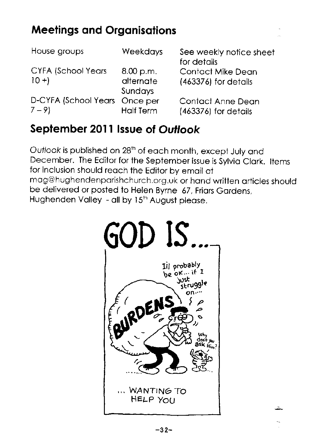# Meelings ond Orgonisqtions

| House groups                  | Weekdays         | See weekly notice sheet<br>for details |
|-------------------------------|------------------|----------------------------------------|
| <b>CYFA (School Years</b>     | 8.00 p.m.        | <b>Contact Mike Dean</b>               |
| $10 +$                        | alternate        | (463376) for details                   |
|                               | Sundays          |                                        |
| D-CYFA (School Years Once per |                  | Contact Anne Dean                      |
| $7 - 9$                       | <b>Half Term</b> | (463376) for details                   |

### Seplember 201I lssue of Outlook

Outlook is published on 28<sup>th</sup> of each month, except July and December. The Editor for the September issue is Sylvia Clark. Items for inclusion should reoch the Editor by emoil ot mag@hughendenparishchurch.org.uk or hand written articles should be delivered or posted to Helen Byrne 67, Friors Gordens, Hughenden Valley - all by 15<sup>th</sup> August please.

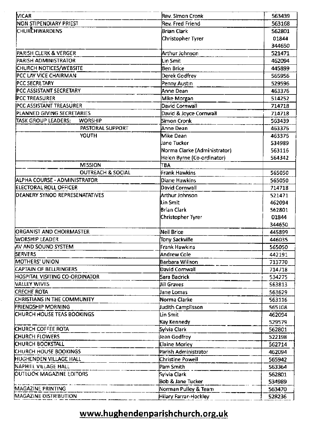| Rev. Simon Cronk      | 563439                                                                                                                                                                                                                                                                                                                                                                                                                                                                                                                                                                                                                                                                                                                                                             |
|-----------------------|--------------------------------------------------------------------------------------------------------------------------------------------------------------------------------------------------------------------------------------------------------------------------------------------------------------------------------------------------------------------------------------------------------------------------------------------------------------------------------------------------------------------------------------------------------------------------------------------------------------------------------------------------------------------------------------------------------------------------------------------------------------------|
| Rev. Fred Friend      | 563168                                                                                                                                                                                                                                                                                                                                                                                                                                                                                                                                                                                                                                                                                                                                                             |
| Brian Clark           | 562801                                                                                                                                                                                                                                                                                                                                                                                                                                                                                                                                                                                                                                                                                                                                                             |
| Christopher Tyrer     | 01844                                                                                                                                                                                                                                                                                                                                                                                                                                                                                                                                                                                                                                                                                                                                                              |
|                       | 344650                                                                                                                                                                                                                                                                                                                                                                                                                                                                                                                                                                                                                                                                                                                                                             |
|                       | 521471                                                                                                                                                                                                                                                                                                                                                                                                                                                                                                                                                                                                                                                                                                                                                             |
| Lin Smit              | 462094                                                                                                                                                                                                                                                                                                                                                                                                                                                                                                                                                                                                                                                                                                                                                             |
|                       | 445899                                                                                                                                                                                                                                                                                                                                                                                                                                                                                                                                                                                                                                                                                                                                                             |
|                       | 565956                                                                                                                                                                                                                                                                                                                                                                                                                                                                                                                                                                                                                                                                                                                                                             |
|                       | 529596                                                                                                                                                                                                                                                                                                                                                                                                                                                                                                                                                                                                                                                                                                                                                             |
|                       | 463376                                                                                                                                                                                                                                                                                                                                                                                                                                                                                                                                                                                                                                                                                                                                                             |
|                       | 514252                                                                                                                                                                                                                                                                                                                                                                                                                                                                                                                                                                                                                                                                                                                                                             |
|                       | 714718                                                                                                                                                                                                                                                                                                                                                                                                                                                                                                                                                                                                                                                                                                                                                             |
|                       | 714718                                                                                                                                                                                                                                                                                                                                                                                                                                                                                                                                                                                                                                                                                                                                                             |
|                       | 563439                                                                                                                                                                                                                                                                                                                                                                                                                                                                                                                                                                                                                                                                                                                                                             |
|                       | 463376                                                                                                                                                                                                                                                                                                                                                                                                                                                                                                                                                                                                                                                                                                                                                             |
|                       | 463376                                                                                                                                                                                                                                                                                                                                                                                                                                                                                                                                                                                                                                                                                                                                                             |
|                       | 534989                                                                                                                                                                                                                                                                                                                                                                                                                                                                                                                                                                                                                                                                                                                                                             |
|                       | 563116                                                                                                                                                                                                                                                                                                                                                                                                                                                                                                                                                                                                                                                                                                                                                             |
|                       | 564342                                                                                                                                                                                                                                                                                                                                                                                                                                                                                                                                                                                                                                                                                                                                                             |
|                       |                                                                                                                                                                                                                                                                                                                                                                                                                                                                                                                                                                                                                                                                                                                                                                    |
|                       | 565050                                                                                                                                                                                                                                                                                                                                                                                                                                                                                                                                                                                                                                                                                                                                                             |
|                       | 565050                                                                                                                                                                                                                                                                                                                                                                                                                                                                                                                                                                                                                                                                                                                                                             |
|                       | 714718                                                                                                                                                                                                                                                                                                                                                                                                                                                                                                                                                                                                                                                                                                                                                             |
|                       | 521471                                                                                                                                                                                                                                                                                                                                                                                                                                                                                                                                                                                                                                                                                                                                                             |
|                       | 462094                                                                                                                                                                                                                                                                                                                                                                                                                                                                                                                                                                                                                                                                                                                                                             |
|                       | 562801                                                                                                                                                                                                                                                                                                                                                                                                                                                                                                                                                                                                                                                                                                                                                             |
|                       | 01844                                                                                                                                                                                                                                                                                                                                                                                                                                                                                                                                                                                                                                                                                                                                                              |
|                       | 344650                                                                                                                                                                                                                                                                                                                                                                                                                                                                                                                                                                                                                                                                                                                                                             |
|                       | 445899                                                                                                                                                                                                                                                                                                                                                                                                                                                                                                                                                                                                                                                                                                                                                             |
|                       | 446035                                                                                                                                                                                                                                                                                                                                                                                                                                                                                                                                                                                                                                                                                                                                                             |
|                       | 565050                                                                                                                                                                                                                                                                                                                                                                                                                                                                                                                                                                                                                                                                                                                                                             |
|                       | 442191                                                                                                                                                                                                                                                                                                                                                                                                                                                                                                                                                                                                                                                                                                                                                             |
|                       | 713770                                                                                                                                                                                                                                                                                                                                                                                                                                                                                                                                                                                                                                                                                                                                                             |
| David Cornwall        | 714718                                                                                                                                                                                                                                                                                                                                                                                                                                                                                                                                                                                                                                                                                                                                                             |
|                       | 534275                                                                                                                                                                                                                                                                                                                                                                                                                                                                                                                                                                                                                                                                                                                                                             |
|                       | 563813                                                                                                                                                                                                                                                                                                                                                                                                                                                                                                                                                                                                                                                                                                                                                             |
|                       | 563629                                                                                                                                                                                                                                                                                                                                                                                                                                                                                                                                                                                                                                                                                                                                                             |
|                       | 563116                                                                                                                                                                                                                                                                                                                                                                                                                                                                                                                                                                                                                                                                                                                                                             |
|                       | 565108                                                                                                                                                                                                                                                                                                                                                                                                                                                                                                                                                                                                                                                                                                                                                             |
|                       | 462094                                                                                                                                                                                                                                                                                                                                                                                                                                                                                                                                                                                                                                                                                                                                                             |
|                       | 529579                                                                                                                                                                                                                                                                                                                                                                                                                                                                                                                                                                                                                                                                                                                                                             |
|                       | 562801                                                                                                                                                                                                                                                                                                                                                                                                                                                                                                                                                                                                                                                                                                                                                             |
|                       | 522198                                                                                                                                                                                                                                                                                                                                                                                                                                                                                                                                                                                                                                                                                                                                                             |
|                       | 562714                                                                                                                                                                                                                                                                                                                                                                                                                                                                                                                                                                                                                                                                                                                                                             |
|                       | 462094                                                                                                                                                                                                                                                                                                                                                                                                                                                                                                                                                                                                                                                                                                                                                             |
| Christine Powell      | 565942                                                                                                                                                                                                                                                                                                                                                                                                                                                                                                                                                                                                                                                                                                                                                             |
|                       | 563364                                                                                                                                                                                                                                                                                                                                                                                                                                                                                                                                                                                                                                                                                                                                                             |
|                       | 562801                                                                                                                                                                                                                                                                                                                                                                                                                                                                                                                                                                                                                                                                                                                                                             |
|                       | 534989                                                                                                                                                                                                                                                                                                                                                                                                                                                                                                                                                                                                                                                                                                                                                             |
|                       | 563470                                                                                                                                                                                                                                                                                                                                                                                                                                                                                                                                                                                                                                                                                                                                                             |
| Hilary Farrar-Hockley | 528236                                                                                                                                                                                                                                                                                                                                                                                                                                                                                                                                                                                                                                                                                                                                                             |
|                       | Arthur Johnson<br>Ben Brice<br>Derek Godfrey<br>Penny Austin<br>Anne Dean<br>Mike Morgan<br>David Cornwall<br>David & Joyce Cornwall<br>Simon Cronk<br>Anne Dean<br>Mike Dean<br>Jane Tucker<br>Norma Clarke (Administrator)<br>Helen Byrne (Co-ordinator)<br>TBA<br>Frank Hawkins<br>Diane Hawkins<br>David Cornwall<br>Arthur Johnson<br><b>l</b> Lin Smit<br>Brian Clark<br>Christopher Tyrer<br>Neil Brice<br>Tony Sackville<br>Frank Hawkins<br>Andrew Cole<br>Barbara Willson<br>Sara Badrick<br><b>Jill Graves</b><br>Jane Lomas<br>Norma Clarke<br>Judith Camplisson<br>Lin Smit<br>Kay Kennedy<br>Sylvia Clark<br>llean Godfrey<br><b>Elaine Morley</b><br>Parish Administrator<br>Pam Smith<br>Svivia Clark<br>Bob & Jane Tucker<br>Norman Pulley & Team |

 $\bar{z}$ 

### www.hughendenparishchurch.org.uk